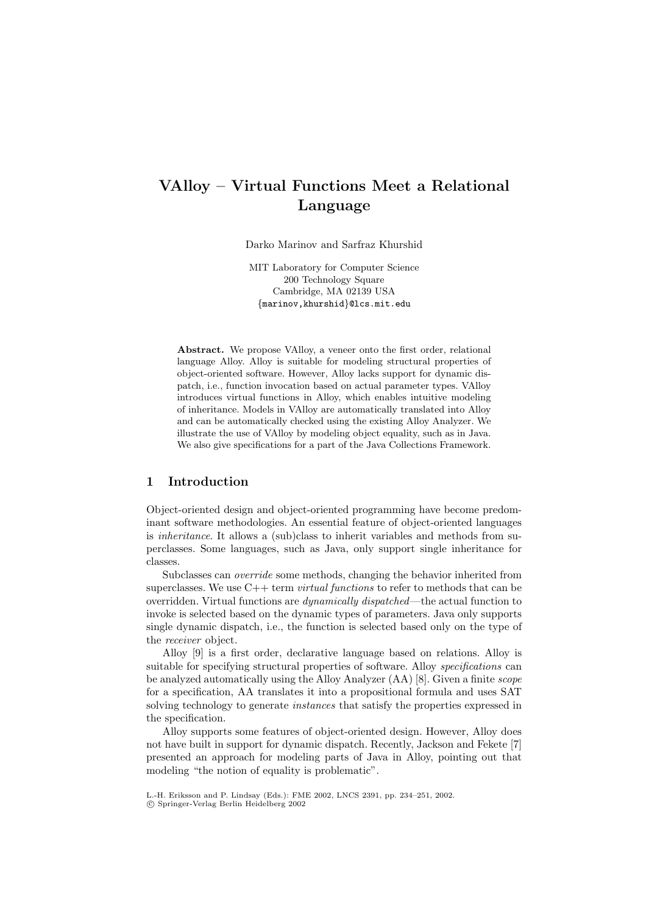# **VAlloy – Virtual Functions Meet a Relational Language**

Darko Marinov and Sarfraz Khurshid

MIT Laboratory for Computer Science 200 Technology Square Cambridge, MA 02139 USA {marinov,khurshid}@lcs.mit.edu

**Abstract.** We propose VAlloy, a veneer onto the first order, relational language Alloy. Alloy is suitable for modeling structural properties of object-oriented software. However, Alloy lacks support for dynamic dispatch, i.e., function invocation based on actual parameter types. VAlloy introduces virtual functions in Alloy, which enables intuitive modeling of inheritance. Models in VAlloy are automatically translated into Alloy and can be automatically checked using the existing Alloy Analyzer. We illustrate the use of VAlloy by modeling object equality, such as in Java. We also give specifications for a part of the Java Collections Framework.

## **1 Introduction**

Object-oriented design and object-oriented programming have become predominant software methodologies. An essential feature of object-oriented languages is inheritance. It allows a (sub)class to inherit variables and methods from superclasses. Some languages, such as Java, only support single inheritance for classes.

Subclasses can override some methods, changing the behavior inherited from superclasses. We use  $C++$  term *virtual functions* to refer to methods that can be overridden. Virtual functions are dynamically dispatched—the actual function to invoke is selected based on the dynamic types of parameters. Java only supports single dynamic dispatch, i.e., the function is selected based only on the type of the receiver object.

Alloy [9] is a first order, declarative language based on relations. Alloy is suitable for specifying structural properties of software. Alloy specifications can be analyzed automatically using the Alloy Analyzer (AA) [8]. Given a finite scope for a specification, AA translates it into a propositional formula and uses SAT solving technology to generate instances that satisfy the properties expressed in the specification.

Alloy supports some features of object-oriented design. However, Alloy does not have built in support for dynamic dispatch. Recently, Jackson and Fekete [7] presented an approach for modeling parts of Java in Alloy, pointing out that modeling "the notion of equality is problematic".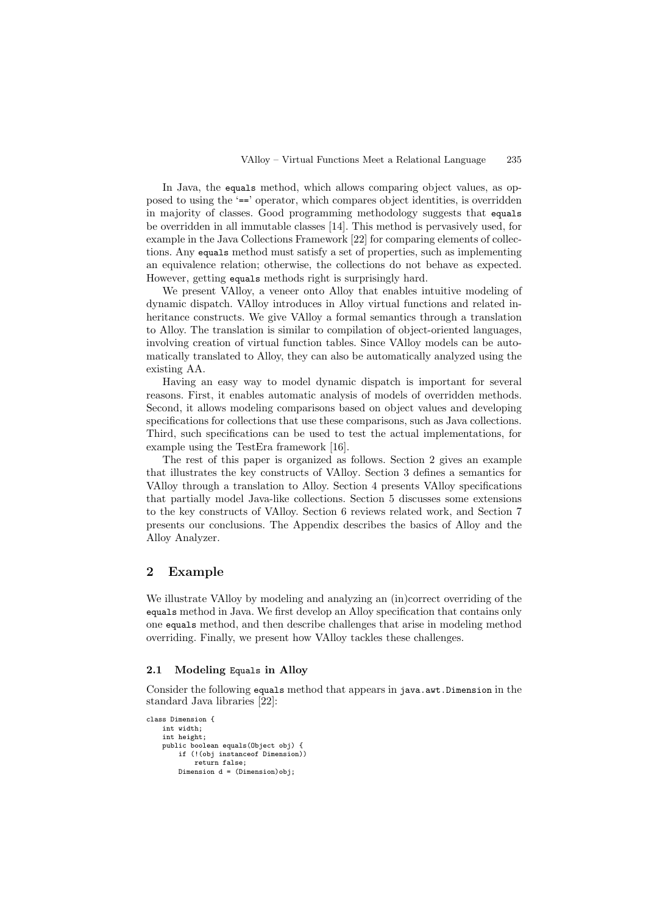In Java, the equals method, which allows comparing object values, as opposed to using the '==' operator, which compares object identities, is overridden in majority of classes. Good programming methodology suggests that equals be overridden in all immutable classes [14]. This method is pervasively used, for example in the Java Collections Framework [22] for comparing elements of collections. Any equals method must satisfy a set of properties, such as implementing an equivalence relation; otherwise, the collections do not behave as expected. However, getting equals methods right is surprisingly hard.

We present VAlloy, a veneer onto Alloy that enables intuitive modeling of dynamic dispatch. VAlloy introduces in Alloy virtual functions and related inheritance constructs. We give VAlloy a formal semantics through a translation to Alloy. The translation is similar to compilation of object-oriented languages, involving creation of virtual function tables. Since VAlloy models can be automatically translated to Alloy, they can also be automatically analyzed using the existing AA.

Having an easy way to model dynamic dispatch is important for several reasons. First, it enables automatic analysis of models of overridden methods. Second, it allows modeling comparisons based on object values and developing specifications for collections that use these comparisons, such as Java collections. Third, such specifications can be used to test the actual implementations, for example using the TestEra framework [16].

The rest of this paper is organized as follows. Section 2 gives an example that illustrates the key constructs of VAlloy. Section 3 defines a semantics for VAlloy through a translation to Alloy. Section 4 presents VAlloy specifications that partially model Java-like collections. Section 5 discusses some extensions to the key constructs of VAlloy. Section 6 reviews related work, and Section 7 presents our conclusions. The Appendix describes the basics of Alloy and the Alloy Analyzer.

## **2 Example**

We illustrate VAlloy by modeling and analyzing an (in)correct overriding of the equals method in Java. We first develop an Alloy specification that contains only one equals method, and then describe challenges that arise in modeling method overriding. Finally, we present how VAlloy tackles these challenges.

#### **2.1 Modeling** Equals **in Alloy**

Consider the following equals method that appears in java.awt.Dimension in the standard Java libraries [22]:

```
class Dimension {
    int width;
   int height;
   public boolean equals(Object obj) {
        if (!(obj instanceof Dimension))
           return false;
        Dimension d = (Dimension)obj;
```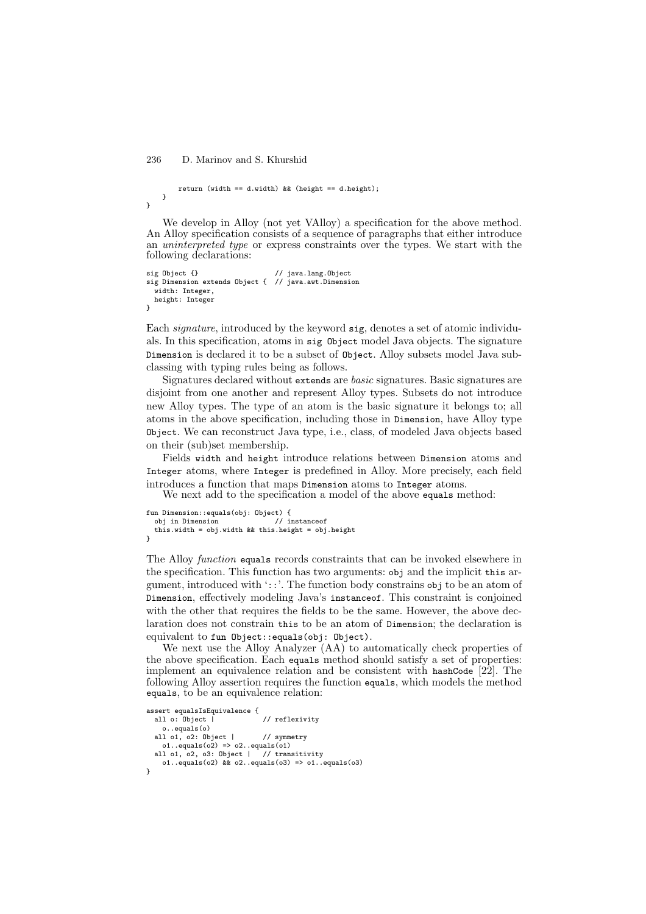```
return (width == d.width) && (height == d.height);
    }
\mathbf{r}
```
We develop in Alloy (not yet VAlloy) a specification for the above method. An Alloy specification consists of a sequence of paragraphs that either introduce an uninterpreted type or express constraints over the types. We start with the following declarations:

```
sig Object {}// java.lang.Object
sig Dimension extends Object { // java.awt.Dimension
 width: Integer,
 height: Integer
\mathbf{r}
```
Each signature, introduced by the keyword sig, denotes a set of atomic individuals. In this specification, atoms in sig Object model Java objects. The signature Dimension is declared it to be a subset of Object. Alloy subsets model Java subclassing with typing rules being as follows.

Signatures declared without extends are basic signatures. Basic signatures are disjoint from one another and represent Alloy types. Subsets do not introduce new Alloy types. The type of an atom is the basic signature it belongs to; all atoms in the above specification, including those in Dimension, have Alloy type Object. We can reconstruct Java type, i.e., class, of modeled Java objects based on their (sub)set membership.

Fields width and height introduce relations between Dimension atoms and Integer atoms, where Integer is predefined in Alloy. More precisely, each field introduces a function that maps Dimension atoms to Integer atoms.

We next add to the specification a model of the above equals method:

```
fun Dimension::equals(obj: Object) {<br>obj in Dimension // instanceof
  obj in Dimension
  this.width = obj.width && this.height = obj.height
}
```
The Alloy function equals records constraints that can be invoked elsewhere in the specification. This function has two arguments: obj and the implicit this argument, introduced with  $\cdot$ ::.'. The function body constrains obj to be an atom of Dimension, effectively modeling Java's instanceof. This constraint is conjoined with the other that requires the fields to be the same. However, the above declaration does not constrain this to be an atom of Dimension; the declaration is equivalent to fun Object::equals(obj: Object).

We next use the Alloy Analyzer (AA) to automatically check properties of the above specification. Each equals method should satisfy a set of properties: implement an equivalence relation and be consistent with hashCode [22]. The following Alloy assertion requires the function equals, which models the method equals, to be an equivalence relation:

```
assert equalsIsEquivalence {
                             // reflexivity
    o..equals(o)
  all o1, o2: Object | // symmetry
    o1..equals(o2) \Rightarrow o2..equals(o1)all o1, o2, o3: Object | // transitivity
    o1..equals(o2) && o2..equals(o3) => o1..equals(o3)
}
```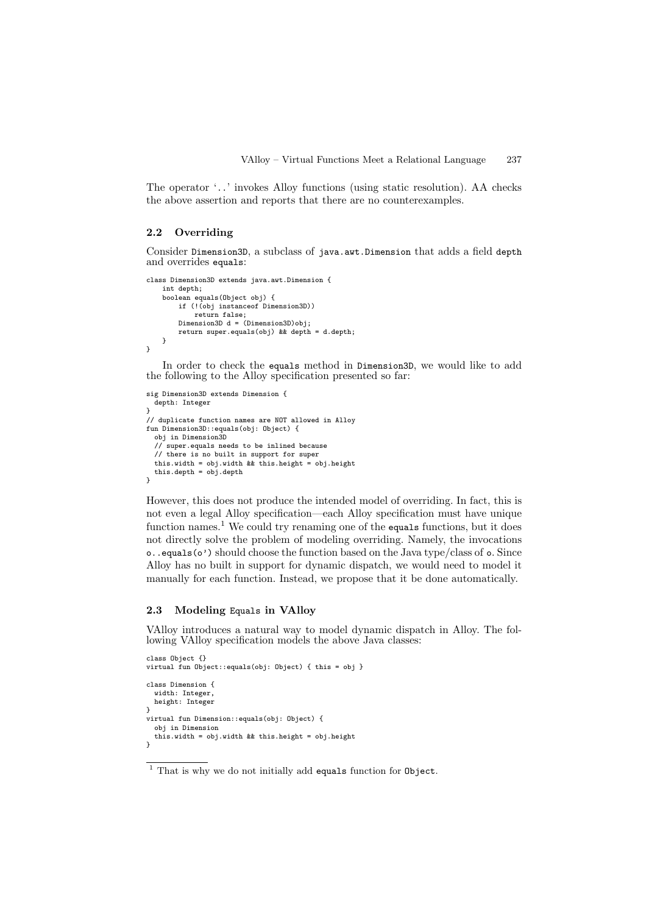The operator '..' invokes Alloy functions (using static resolution). AA checks the above assertion and reports that there are no counterexamples.

#### **2.2 Overriding**

Consider Dimension3D, a subclass of java.awt.Dimension that adds a field depth and overrides equals:

```
class Dimension3D extends java.awt.Dimension {
   int depth;
    boolean equals(Object obj) {
        if (!(obj instanceof Dimension3D))
            return false;
       Dimension3D d = (Dimension3D)obj;
        return super.equals(obj) && depth = d.depth;
    }
}
```
In order to check the equals method in Dimension3D, we would like to add the following to the Alloy specification presented so far:

```
sig Dimension3D extends Dimension {
 depth: Integer
}
// duplicate function names are NOT allowed in Alloy
fun Dimension3D::equals(obj: Object) {
  obj in Dimension3D
  // super.equals needs to be inlined because
  // there is no built in support for super
  this.width = obj.width && this.height = obj.height
  this.depth = obj.depth
}
```
However, this does not produce the intended model of overriding. In fact, this is not even a legal Alloy specification—each Alloy specification must have unique function names.<sup>1</sup> We could try renaming one of the equals functions, but it does not directly solve the problem of modeling overriding. Namely, the invocations  $\circ$ ..equals( $\circ'$ ) should choose the function based on the Java type/class of  $\circ$ . Since Alloy has no built in support for dynamic dispatch, we would need to model it manually for each function. Instead, we propose that it be done automatically.

#### **2.3 Modeling** Equals **in VAlloy**

VAlloy introduces a natural way to model dynamic dispatch in Alloy. The following VAlloy specification models the above Java classes:

```
class Object {}
virtual fun Object::equals(obj: Object) { this = obj }
class Dimension {
  width: Integer,
 height: Integer
}
virtual fun Dimension::equals(obj: Object) {
  obj in Dimension
  this.width = obj.width && this.height = obj.height
}
```
 $^{\rm 1}$  That is why we do not initially add equals function for Object.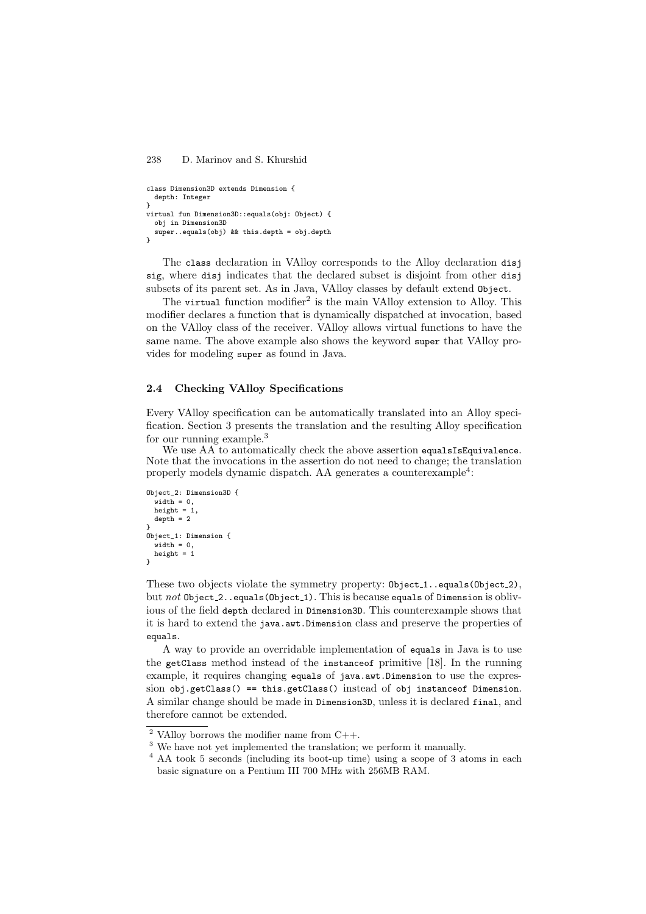```
class Dimension3D extends Dimension {
 depth: Integer
\overline{1}virtual fun Dimension3D::equals(obj: Object) {
  obj in Dimension3D
  super..equals(obj) && this.depth = obj.depth
}
```
The class declaration in VAlloy corresponds to the Alloy declaration disj sig, where disj indicates that the declared subset is disjoint from other disj subsets of its parent set. As in Java, VAlloy classes by default extend Object.

The virtual function modifier<sup>2</sup> is the main VAlloy extension to Alloy. This modifier declares a function that is dynamically dispatched at invocation, based on the VAlloy class of the receiver. VAlloy allows virtual functions to have the same name. The above example also shows the keyword super that VAlloy provides for modeling super as found in Java.

#### **2.4 Checking VAlloy Specifications**

Every VAlloy specification can be automatically translated into an Alloy specification. Section 3 presents the translation and the resulting Alloy specification for our running example.<sup>3</sup>

We use AA to automatically check the above assertion equalsIsEquivalence. Note that the invocations in the assertion do not need to change; the translation properly models dynamic dispatch. AA generates a counterexample<sup>4</sup>:

```
Object_2: Dimension3D {
 width = 0,height = 1,
 depth = 2}
Object_1: Dimension {
  width = 0,height = 1}
```
These two objects violate the symmetry property:  $0$ bject $-1$ ..equals $(0$ bject $-2)$ , but not Object 2. equals (Object 1). This is because equals of Dimension is oblivious of the field depth declared in Dimension3D. This counterexample shows that it is hard to extend the java.awt.Dimension class and preserve the properties of equals.

A way to provide an overridable implementation of equals in Java is to use the getClass method instead of the instanceof primitive [18]. In the running example, it requires changing equals of java.awt.Dimension to use the expression obj.getClass() == this.getClass() instead of obj instance of Dimension. A similar change should be made in Dimension3D, unless it is declared final, and therefore cannot be extended.

<sup>&</sup>lt;sup>2</sup> VAlloy borrows the modifier name from  $C++$ .

<sup>&</sup>lt;sup>3</sup> We have not yet implemented the translation; we perform it manually.

<sup>4</sup> AA took 5 seconds (including its boot-up time) using a scope of 3 atoms in each basic signature on a Pentium III 700 MHz with 256MB RAM.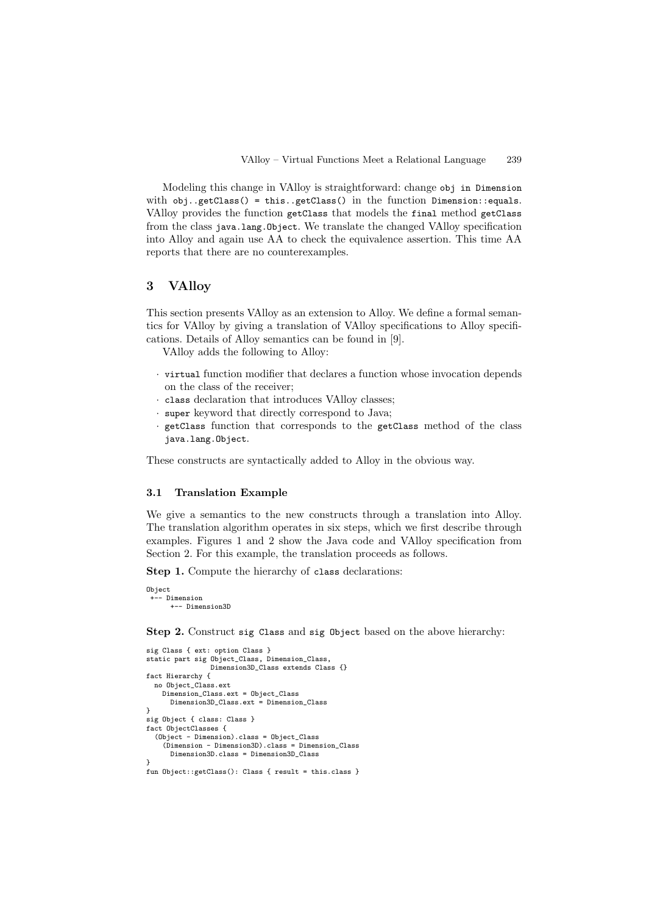Modeling this change in VAlloy is straightforward: change obj in Dimension with obj..getClass() = this..getClass() in the function Dimension::equals. VAlloy provides the function getClass that models the final method getClass from the class java.lang.Object. We translate the changed VAlloy specification into Alloy and again use AA to check the equivalence assertion. This time AA reports that there are no counterexamples.

## **3 VAlloy**

This section presents VAlloy as an extension to Alloy. We define a formal semantics for VAlloy by giving a translation of VAlloy specifications to Alloy specifications. Details of Alloy semantics can be found in [9].

VAlloy adds the following to Alloy:

- · virtual function modifier that declares a function whose invocation depends on the class of the receiver;
- · class declaration that introduces VAlloy classes;
- · super keyword that directly correspond to Java;
- · getClass function that corresponds to the getClass method of the class java.lang.Object.

These constructs are syntactically added to Alloy in the obvious way.

#### **3.1 Translation Example**

We give a semantics to the new constructs through a translation into Alloy. The translation algorithm operates in six steps, which we first describe through examples. Figures 1 and 2 show the Java code and VAlloy specification from Section 2. For this example, the translation proceeds as follows.

**Step 1.** Compute the hierarchy of class declarations:

```
Object
+-- Dimension
      +-- Dimension3D
```
**Step 2.** Construct sig Class and sig Object based on the above hierarchy:

```
sig Class { ext: option Class }
static part sig Object_Class, Dimension_Class,
               Dimension3D_Class extends Class {}
fact Hierarchy {
 no Object_Class.ext
   Dimension_Class.ext = Object_Class
      Dimension3D_Class.ext = Dimension_Class
}
sig Object { class: Class }
fact ObjectClasses {
  (Object - Dimension).class = Object_Class
    (Dimension - Dimension3D).class = Dimension_Class
      Dimension3D.class = Dimension3D_Class
}
fun Object::getClass(): Class { result = this.class }
```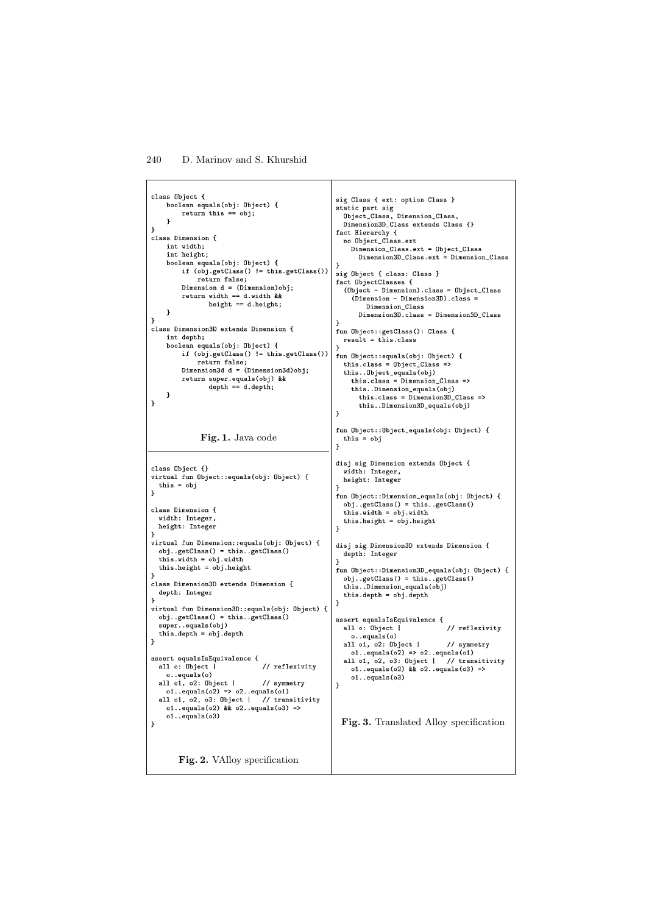```
class Object {
                                                   sig Class { ext: option Class }
    boolean equals (obj: Object) {
                                                   static part sig
        return this == obj;
                                                     Object_Class, Dimension_Class,
                                                     Dimension3D_Class extends Class {}
P,
                                                   fact Hierarchy {
class Dimension {
                                                     no Object_Class.ext
    int width;
                                                       Dimension_Class.ext = 0bject_Class
    int height;
                                                         Dimension3D_Class.ext = Dimension_Class
    boolean equals (obj: Object) {
        if (obj.getClass() != this.getClass())
                                                   sig Object { class: Class }
            return false;
                                                   fact ObjectClasses {
        Dimension d = (Dimension)obj;
                                                     (Object - Dimension).class = Object_Class
        return width == d.width &&
                                                       (Dimension - Dimension3D).class =
               height == d. height;Dimension_Class
    \overline{\mathbf{r}}Dimension3D.class = Dimension3D_Class
-1
                                                   J.
class Dimension3D extends Dimension {
                                                   fun Object::getClass(): Class {
    int depth;
                                                     result = this.classboolean equals (obj: Object) {
                                                   J.
        if (obj.getClass() != this.getClass())
                                                   fun Object::equals(obj: Object) {
            return false;
                                                     this.class = 0bject_Class =>
        Dimension3d d = (Dimension3d)obj;this..Object_equals(obj)
        return super.equals(obj) &&
                                                       this.class = Dimension_{\sim}Class =>
               depth == d.depth;this..Dimension_equals(obj)
    }
                                                         this.class = Dimension3D\_Class =>
\mathbf{r}this..Dimension3D_equals(obj)
                                                   P,
                                                   fun Object:: Object_equals(obj: Object) {
             Fig. 1. Java code
                                                     this = objdisj sig Dimension extends Object {
class Object {}
                                                     width: Integer,
virtual fun Object::equals(obj: Object) {
                                                     height: Integer
  this = obj\overline{\mathbf{a}}fun Object::Dimension_equals(obj: Object) {
                                                     obj..getClass() = this..getClass()
class Dimension {
                                                     this.width = obj.width
  width: Integer,
                                                     this.height = obj.height
 height: Integer
                                                   \mathbf{r}J.
virtual fun Dimension::equals(obj: Object) {
                                                   disj sig Dimension3D extends Dimension {
  obj..getClass() = this. getClass()depth: Integer
  this.width = objwidth
  this.height = obj.height
                                                   fun Object::Dimension3D_equals(obj: Object) {
\mathbf{r}obj..getClass() = this..getClass()
class Dimension3D extends Dimension {
                                                     this..Dimension_equals(obj)
 depth: Integer
                                                     this.depth = obj.depthJ.
virtual fun Dimension3D::equals(obj: Object) {
  obj..getClass() = this..getClass()
                                                   assert equalsIsEquivalence {
  super..equals(obj)
                                                     all o: Object |
                                                                                  // reflexivity
  this.depth = obj.depth
                                                       o. . equals (o)\mathbf{r}all o1, o2: Object |
                                                                                  // symmetry
                                                       o1..equals(o2) \Rightarrow o2..equals(o1)assert equalsIsEquivalence {
                                                     all o1, o2, o3: Object | // transitivity
  all o: Object |
                               // reflexivity
                                                       o1..equals(o2) && o2..equals(o3) =>
    o.. equals(o)01..equals(03)all o1, o2: Object |
                              // symmetry
                                                   \mathbf{1}o1..equals(o2) \Rightarrow o2..equals(o1)all o1, o2, o3: Object | // transitivity
    o1..equals(o2) && o2..equals(o3) =>
    o1. . equals (o3)Fig. 3. Translated Alloy specification\mathcal{F}Fig. 2. VAlloy specification
```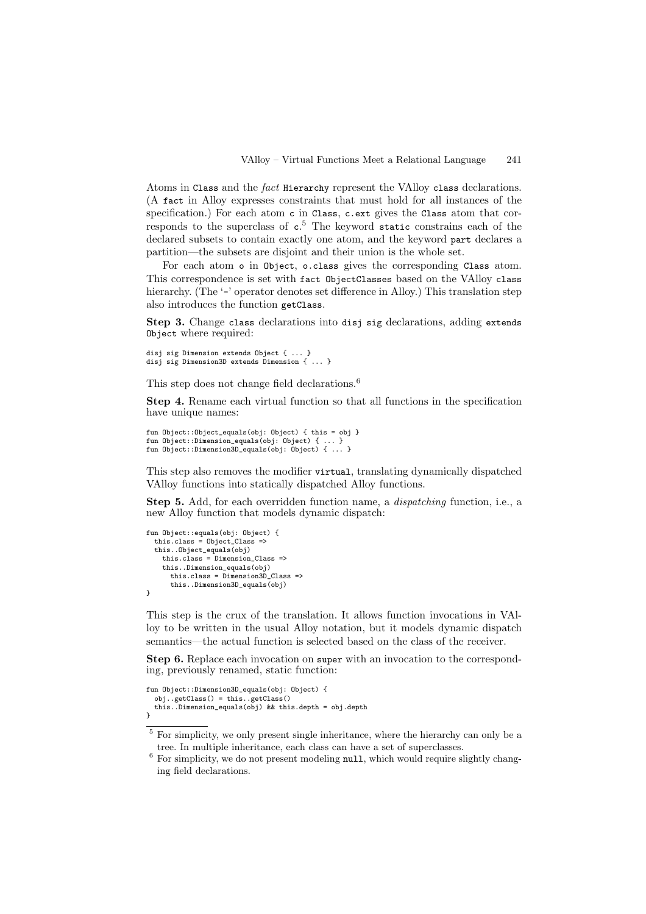Atoms in Class and the fact Hierarchy represent the VAlloy class declarations. (A fact in Alloy expresses constraints that must hold for all instances of the specification.) For each atom c in Class, c.ext gives the Class atom that corresponds to the superclass of c. <sup>5</sup> The keyword static constrains each of the declared subsets to contain exactly one atom, and the keyword part declares a partition—the subsets are disjoint and their union is the whole set.

For each atom o in Object, o.class gives the corresponding Class atom. This correspondence is set with fact ObjectClasses based on the VAlloy class hierarchy. (The '-' operator denotes set difference in Alloy.) This translation step also introduces the function getClass.

**Step 3.** Change class declarations into disj sig declarations, adding extends Object where required:

```
disj sig Dimension extends Object { ... }
disj sig Dimension3D extends Dimension { ... }
```
This step does not change field declarations.<sup>6</sup>

**Step 4.** Rename each virtual function so that all functions in the specification have unique names:

```
fun Object::Object_equals(obj: Object) { this = obj }
fun Object::Dimension_equals(obj: Object) { ... }
fun Object::Dimension3D_equals(obj: Object) { ... }
```
This step also removes the modifier virtual, translating dynamically dispatched VAlloy functions into statically dispatched Alloy functions.

**Step 5.** Add, for each overridden function name, a dispatching function, i.e., a new Alloy function that models dynamic dispatch:

```
fun Object::equals(obj: Object) {
  this.class = Object_Class =>
  this..Object_equals(obj)
    this.class = Dimension_Class =>
    this..Dimension_equals(obj)
     this.class = Dimension3D_Class =>
      this..Dimension3D_equals(obj)
}
```
This step is the crux of the translation. It allows function invocations in VAlloy to be written in the usual Alloy notation, but it models dynamic dispatch semantics—the actual function is selected based on the class of the receiver.

**Step 6.** Replace each invocation on super with an invocation to the corresponding, previously renamed, static function:

```
fun Object::Dimension3D_equals(obj: Object) {
  obj..getClass() = this..getClass()
  this..Dimension_equals(obj) && this.depth = obj.depth
}
```
<sup>&</sup>lt;sup>5</sup> For simplicity, we only present single inheritance, where the hierarchy can only be a tree. In multiple inheritance, each class can have a set of superclasses.

 $6$  For simplicity, we do not present modeling null, which would require slightly changing field declarations.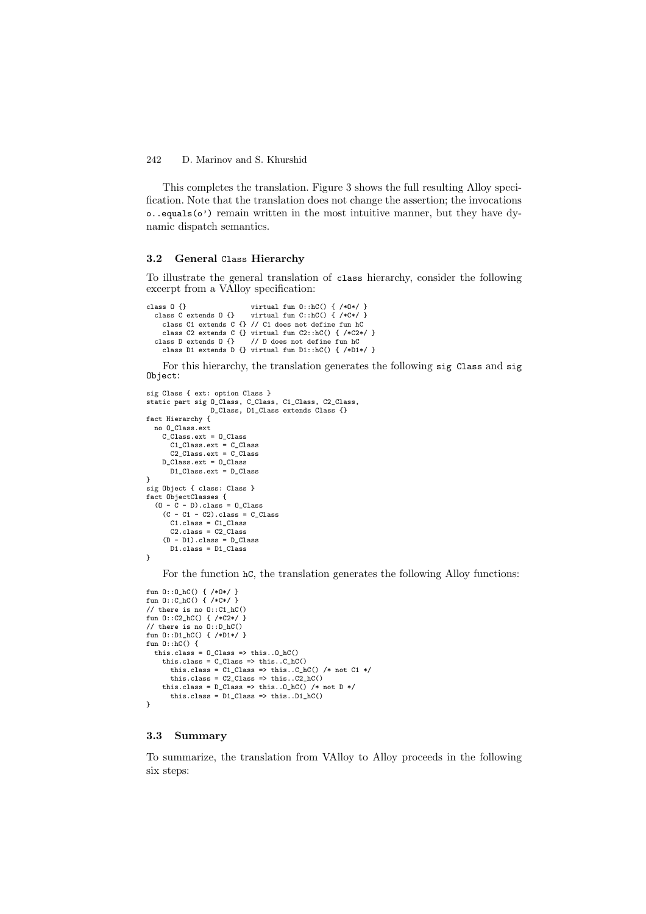This completes the translation. Figure 3 shows the full resulting Alloy specification. Note that the translation does not change the assertion; the invocations  $\circ$ ..equals( $\circ'$ ) remain written in the most intuitive manner, but they have dynamic dispatch semantics.

### **3.2 General** Class **Hierarchy**

To illustrate the general translation of class hierarchy, consider the following excerpt from a VAlloy specification:

```
class 0 {} virtual fun 0::hC() { /*0*/ }<br>class C extends 0 {} virtual fun C::hC() { /*C*/ }virtual fun C::hC() { /*C*/ }
    class C1 extends C {}// C1 does not define fun hC
    class C2 extends C {} virtual fun C2::hC() { /*C2*/ }
  class D extends O {}// D does not define fun hC
    class D1 extends D {} virtual fun D1::hC() { /*D1*/ }
```
For this hierarchy, the translation generates the following sig Class and sig Object:

```
sig Class { ext: option Class }
static part sig O_Class, C_Class, C1_Class, C2_Class,
                D_Class, D1_Class extends Class {}
fact Hierarchy {
  no O_Class.ext
    C_Class.ext = O_Class
      C1_Class.ext = C_Class
     C2_Class.ext = C_Class
    D_Class.ext = O_Class
      D1_Class.ext = D_Class
}
sig Object { class: Class }
fact ObjectClasses {
  (0 - C - D).class = 0_CClass
    (C - C1 - C2).class = C_C1ass
      C1.class = C1_Class
      C2.class = C2_Class
    (D - D1).class = D_ClassD1.class = D1_Class
}
```
For the function hC, the translation generates the following Alloy functions:

```
fun O::O_hC() { /*O*/ }
fun O::C_hC() { /*C*/ }
// there is no O::C1_hC()
fun O::C2_hC() { /*C2*/ }
// there is no O::D_hC()
fun O::D1_hC() { /*D1*/ }
fun O::hC() {
  this.class = 0_Class => this..0_LhC()this.class = C_Class => this..C_hC()this.class = C1_Class => this..C_hC() /* not C1 */
      this.class = C2_Class => this..C2_hC()this.class = D_Class => this..D_LC() /* not D*/this.class = D1_Class => this..D1_LbC()}
```
#### **3.3 Summary**

To summarize, the translation from VAlloy to Alloy proceeds in the following six steps: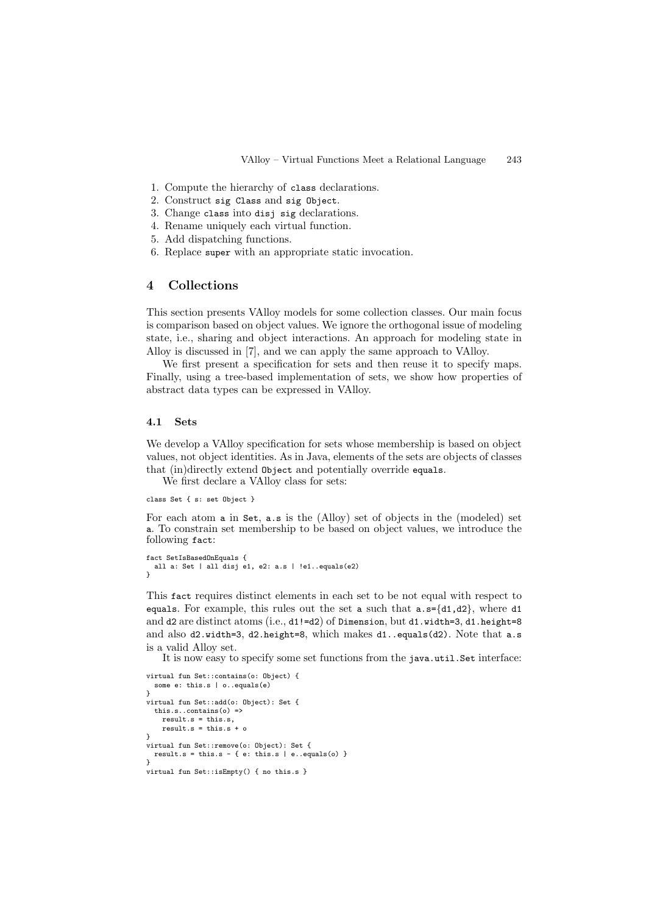- 1. Compute the hierarchy of class declarations.
- 2. Construct sig Class and sig Object.
- 3. Change class into disj sig declarations.
- 4. Rename uniquely each virtual function.
- 5. Add dispatching functions.
- 6. Replace super with an appropriate static invocation.

## **4 Collections**

This section presents VAlloy models for some collection classes. Our main focus is comparison based on object values. We ignore the orthogonal issue of modeling state, i.e., sharing and object interactions. An approach for modeling state in Alloy is discussed in [7], and we can apply the same approach to VAlloy.

We first present a specification for sets and then reuse it to specify maps. Finally, using a tree-based implementation of sets, we show how properties of abstract data types can be expressed in VAlloy.

#### **4.1 Sets**

We develop a VAlloy specification for sets whose membership is based on object values, not object identities. As in Java, elements of the sets are objects of classes that (in)directly extend Object and potentially override equals.

We first declare a VAlloy class for sets:

class Set { s: set Object }

For each atom a in Set, a.s is the (Alloy) set of objects in the (modeled) set a. To constrain set membership to be based on object values, we introduce the following fact:

```
fact SetIsBasedOnEquals {
  all a: Set | all disj e1, e2: a.s | !e1..equals(e2)
}
```
This fact requires distinct elements in each set to be not equal with respect to equals. For example, this rules out the set a such that  $a.s = \{d1, d2\}$ , where d1 and d2 are distinct atoms (i.e.,  $d1!=d2$ ) of Dimension, but  $d1$ .width=3,  $d1$ .height=8 and also d2.width=3, d2.height=8, which makes d1..equals(d2). Note that a.s is a valid Alloy set.

It is now easy to specify some set functions from the java.util.Set interface:

```
virtual fun Set::contains(o: Object) {
 some e: this.s | o..equals(e)
}
virtual fun Set::add(o: Object): Set {
 this.s..contains(o) =>
   result.s = this.s,
    result.s = this.s + o}
virtual fun Set::remove(o: Object): Set {
  result.s = this.s - { e: this.s | e..equals(o) }
}
virtual fun Set::isEmpty() { no this.s }
```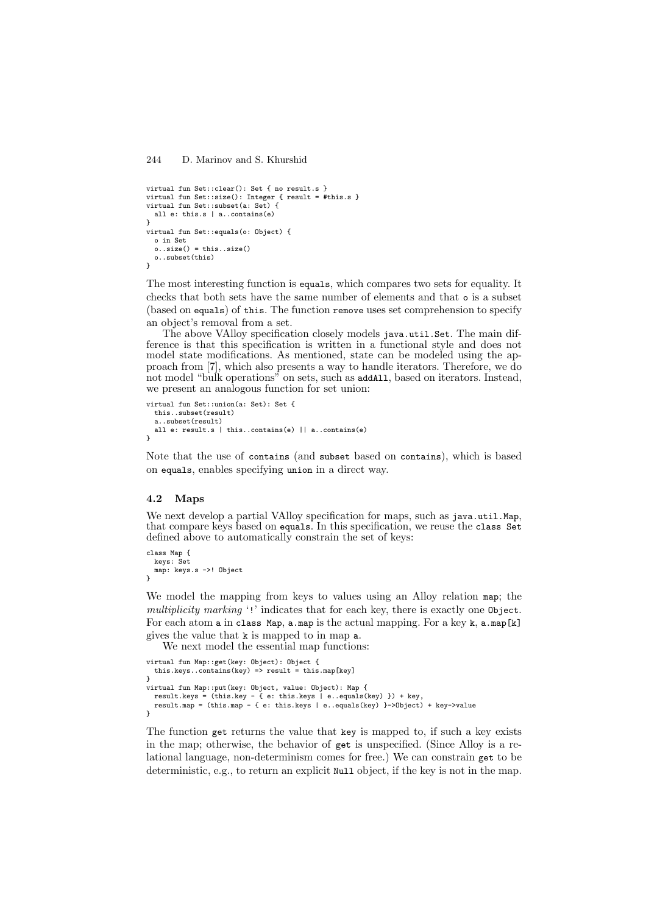```
virtual fun Set::clear(): Set { no result.s }
virtual fun Set::size(): Integer { result = #this.s }
virtual fun Set::subset(a: Set) {
 all e: this.s | a..contains(e)
}
virtual fun Set::equals(o: Object) {
  o in Set
  o. . size() = this. . size()o..subset(this)
\lambda
```
The most interesting function is equals, which compares two sets for equality. It checks that both sets have the same number of elements and that o is a subset (based on equals) of this. The function remove uses set comprehension to specify an object's removal from a set.

The above VAlloy specification closely models java.util.set. The main difference is that this specification is written in a functional style and does not model state modifications. As mentioned, state can be modeled using the approach from [7], which also presents a way to handle iterators. Therefore, we do not model "bulk operations" on sets, such as addall, based on iterators. Instead, we present an analogous function for set union:

```
virtual fun Set::union(a: Set): Set {
  this..subset(result)
  a..subset(result)
  all e: result.s | this..contains(e) || a..contains(e)
}
```
Note that the use of contains (and subset based on contains), which is based on equals, enables specifying union in a direct way.

## **4.2 Maps**

We next develop a partial VAlloy specification for maps, such as java.util.Map, that compare keys based on equals. In this specification, we reuse the class Set defined above to automatically constrain the set of keys:

```
class Map {
 keys: Set
 map: keys.s ->! Object
}
```
We model the mapping from keys to values using an Alloy relation map; the multiplicity marking '!' indicates that for each key, there is exactly one **Object**. For each atom a in class Map, a.map is the actual mapping. For a key k, a.map[k] gives the value that  $k$  is mapped to in map  $a$ .<br>We next model the essential map functions:

```
virtual fun Map::get(key: Object): Object {
  this.keys..contains(key) => result = this.map[key]
}
virtual fun Map::put(key: Object, value: Object): Map {
 result.keys = (this.key - { e: this.keys | e..equals(key) }) + key,
  result.map = (this.map - { e: this.keys | e..equals(key) }->Object) + key->value
}
```
The function get returns the value that key is mapped to, if such a key exists in the map; otherwise, the behavior of get is unspecified. (Since Alloy is a relational language, non-determinism comes for free.) We can constrain get to be deterministic, e.g., to return an explicit Null object, if the key is not in the map.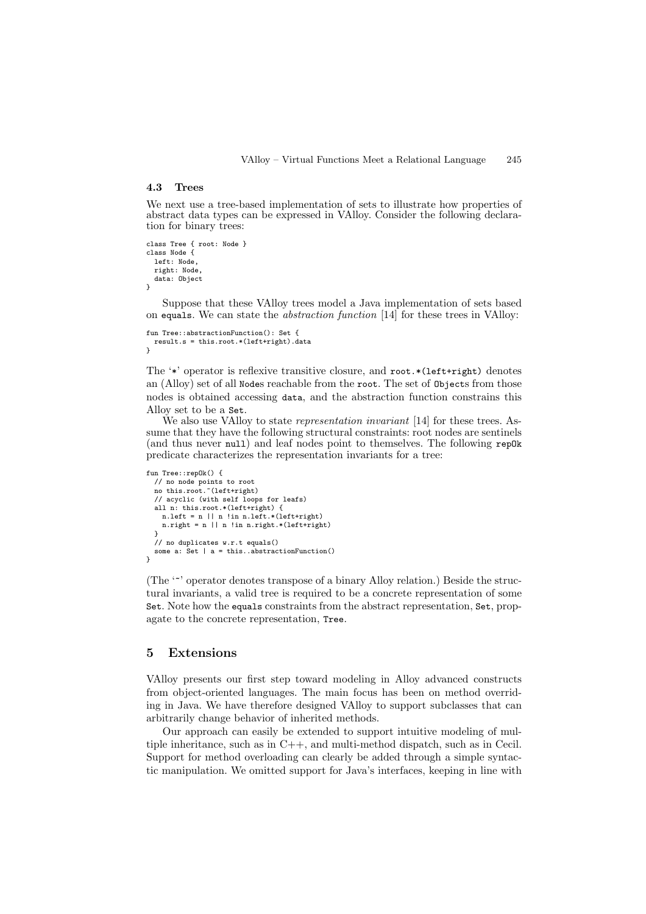#### **4.3 Trees**

We next use a tree-based implementation of sets to illustrate how properties of abstract data types can be expressed in VAlloy. Consider the following declaration for binary trees:

```
class Tree { root: Node }
class Node {
  left: Node,
  right: Node,
  data: Object
}
```
Suppose that these VAlloy trees model a Java implementation of sets based on equals. We can state the abstraction function [14] for these trees in VAlloy:

```
fun Tree::abstractionFunction(): Set {
  result.s = this.root.*(left+right).data
\mathbf{r}
```
The '\*' operator is reflexive transitive closure, and root.\*(left+right) denotes an (Alloy) set of all Nodes reachable from the root. The set of Objects from those nodes is obtained accessing data, and the abstraction function constrains this Alloy set to be a Set.

We also use VAlloy to state *representation invariant* [14] for these trees. Assume that they have the following structural constraints: root nodes are sentinels (and thus never null) and leaf nodes point to themselves. The following repOk predicate characterizes the representation invariants for a tree:

```
fun Tree::repOk() {
  // no node points to root
  no this.root.˜(left+right)
  // acyclic (with self loops for leafs)
  all n: this.root.*(left+right) {
    n.left = n || n !in n.left.*(left+right)
    n.right = n || n !in n.right.*(left+right)
  }
  // no duplicates w.r.t equals()
  some a: Set |a = \text{this} \dots \text{abstractionFunction}()}
```
(The '˜' operator denotes transpose of a binary Alloy relation.) Beside the structural invariants, a valid tree is required to be a concrete representation of some Set. Note how the equals constraints from the abstract representation, Set, propagate to the concrete representation, Tree.

## **5Extensions**

VAlloy presents our first step toward modeling in Alloy advanced constructs from object-oriented languages. The main focus has been on method overriding in Java. We have therefore designed VAlloy to support subclasses that can arbitrarily change behavior of inherited methods.

Our approach can easily be extended to support intuitive modeling of multiple inheritance, such as in  $C_{++}$ , and multi-method dispatch, such as in Cecil. Support for method overloading can clearly be added through a simple syntactic manipulation. We omitted support for Java's interfaces, keeping in line with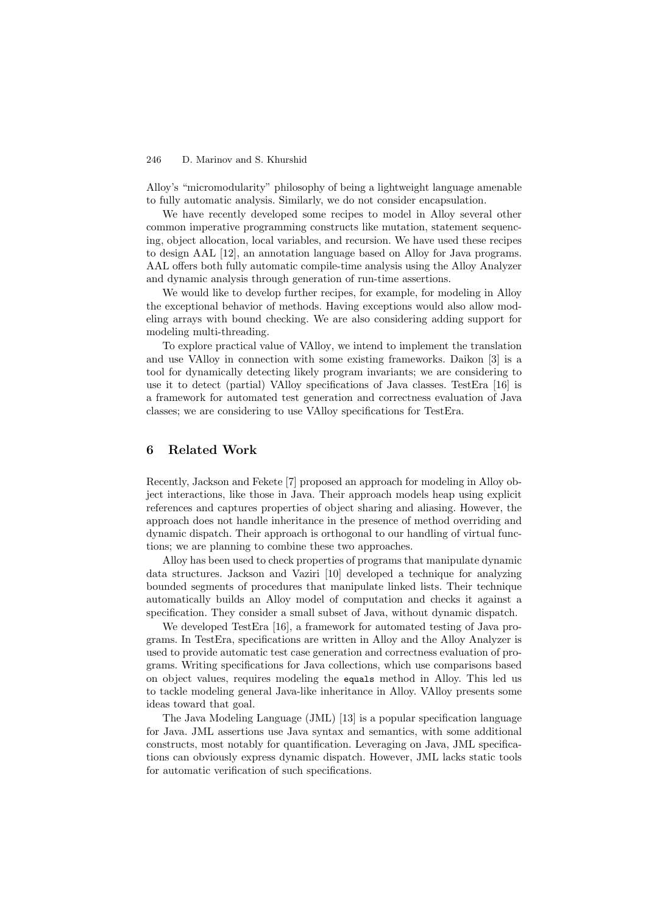Alloy's "micromodularity" philosophy of being a lightweight language amenable to fully automatic analysis. Similarly, we do not consider encapsulation.

We have recently developed some recipes to model in Alloy several other common imperative programming constructs like mutation, statement sequencing, object allocation, local variables, and recursion. We have used these recipes to design AAL [12], an annotation language based on Alloy for Java programs. AAL offers both fully automatic compile-time analysis using the Alloy Analyzer and dynamic analysis through generation of run-time assertions.

We would like to develop further recipes, for example, for modeling in Alloy the exceptional behavior of methods. Having exceptions would also allow modeling arrays with bound checking. We are also considering adding support for modeling multi-threading.

To explore practical value of VAlloy, we intend to implement the translation and use VAlloy in connection with some existing frameworks. Daikon [3] is a tool for dynamically detecting likely program invariants; we are considering to use it to detect (partial) VAlloy specifications of Java classes. TestEra [16] is a framework for automated test generation and correctness evaluation of Java classes; we are considering to use VAlloy specifications for TestEra.

## **6 Related Work**

Recently, Jackson and Fekete [7] proposed an approach for modeling in Alloy object interactions, like those in Java. Their approach models heap using explicit references and captures properties of object sharing and aliasing. However, the approach does not handle inheritance in the presence of method overriding and dynamic dispatch. Their approach is orthogonal to our handling of virtual functions; we are planning to combine these two approaches.

Alloy has been used to check properties of programs that manipulate dynamic data structures. Jackson and Vaziri [10] developed a technique for analyzing bounded segments of procedures that manipulate linked lists. Their technique automatically builds an Alloy model of computation and checks it against a specification. They consider a small subset of Java, without dynamic dispatch.

We developed TestEra [16], a framework for automated testing of Java programs. In TestEra, specifications are written in Alloy and the Alloy Analyzer is used to provide automatic test case generation and correctness evaluation of programs. Writing specifications for Java collections, which use comparisons based on object values, requires modeling the equals method in Alloy. This led us to tackle modeling general Java-like inheritance in Alloy. VAlloy presents some ideas toward that goal.

The Java Modeling Language (JML) [13] is a popular specification language for Java. JML assertions use Java syntax and semantics, with some additional constructs, most notably for quantification. Leveraging on Java, JML specifications can obviously express dynamic dispatch. However, JML lacks static tools for automatic verification of such specifications.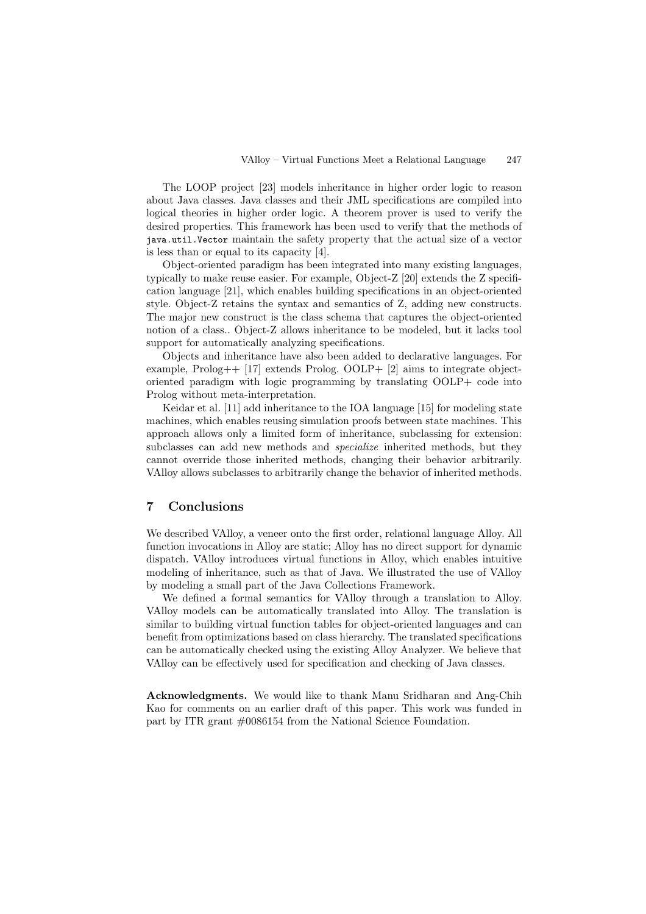The LOOP project [23] models inheritance in higher order logic to reason about Java classes. Java classes and their JML specifications are compiled into logical theories in higher order logic. A theorem prover is used to verify the desired properties. This framework has been used to verify that the methods of java.util.Vector maintain the safety property that the actual size of a vector is less than or equal to its capacity [4].

Object-oriented paradigm has been integrated into many existing languages, typically to make reuse easier. For example, Object-Z [20] extends the Z specification language [21], which enables building specifications in an object-oriented style. Object-Z retains the syntax and semantics of Z, adding new constructs. The major new construct is the class schema that captures the object-oriented notion of a class.. Object-Z allows inheritance to be modeled, but it lacks tool support for automatically analyzing specifications.

Objects and inheritance have also been added to declarative languages. For example, Prolog++ [17] extends Prolog. OOLP+ [2] aims to integrate objectoriented paradigm with logic programming by translating OOLP+ code into Prolog without meta-interpretation.

Keidar et al. [11] add inheritance to the IOA language [15] for modeling state machines, which enables reusing simulation proofs between state machines. This approach allows only a limited form of inheritance, subclassing for extension: subclasses can add new methods and specialize inherited methods, but they cannot override those inherited methods, changing their behavior arbitrarily. VAlloy allows subclasses to arbitrarily change the behavior of inherited methods.

## **7 Conclusions**

We described VAlloy, a veneer onto the first order, relational language Alloy. All function invocations in Alloy are static; Alloy has no direct support for dynamic dispatch. VAlloy introduces virtual functions in Alloy, which enables intuitive modeling of inheritance, such as that of Java. We illustrated the use of VAlloy by modeling a small part of the Java Collections Framework.

We defined a formal semantics for VAlloy through a translation to Alloy. VAlloy models can be automatically translated into Alloy. The translation is similar to building virtual function tables for object-oriented languages and can benefit from optimizations based on class hierarchy. The translated specifications can be automatically checked using the existing Alloy Analyzer. We believe that VAlloy can be effectively used for specification and checking of Java classes.

**Acknowledgments.** We would like to thank Manu Sridharan and Ang-Chih Kao for comments on an earlier draft of this paper. This work was funded in part by ITR grant #0086154 from the National Science Foundation.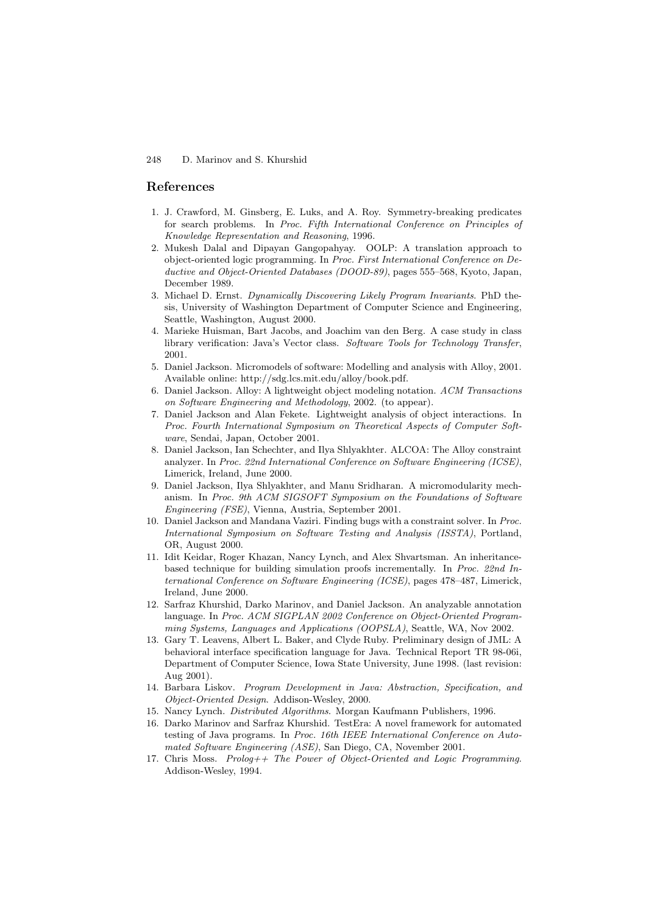## **References**

- 1. J. Crawford, M. Ginsberg, E. Luks, and A. Roy. Symmetry-breaking predicates for search problems. In Proc. Fifth International Conference on Principles of Knowledge Representation and Reasoning, 1996.
- 2. Mukesh Dalal and Dipayan Gangopahyay. OOLP: A translation approach to object-oriented logic programming. In Proc. First International Conference on Deductive and Object-Oriented Databases (DOOD-89), pages 555–568, Kyoto, Japan, December 1989.
- 3. Michael D. Ernst. Dynamically Discovering Likely Program Invariants. PhD thesis, University of Washington Department of Computer Science and Engineering, Seattle, Washington, August 2000.
- 4. Marieke Huisman, Bart Jacobs, and Joachim van den Berg. A case study in class library verification: Java's Vector class. Software Tools for Technology Transfer, 2001.
- 5. Daniel Jackson. Micromodels of software: Modelling and analysis with Alloy, 2001. Available online: http://sdg.lcs.mit.edu/alloy/book.pdf.
- 6. Daniel Jackson. Alloy: A lightweight object modeling notation. ACM Transactions on Software Engineering and Methodology, 2002. (to appear).
- 7. Daniel Jackson and Alan Fekete. Lightweight analysis of object interactions. In Proc. Fourth International Symposium on Theoretical Aspects of Computer Software, Sendai, Japan, October 2001.
- 8. Daniel Jackson, Ian Schechter, and Ilya Shlyakhter. ALCOA: The Alloy constraint analyzer. In Proc. 22nd International Conference on Software Engineering (ICSE), Limerick, Ireland, June 2000.
- 9. Daniel Jackson, Ilya Shlyakhter, and Manu Sridharan. A micromodularity mechanism. In Proc. 9th ACM SIGSOFT Symposium on the Foundations of Software Engineering (FSE), Vienna, Austria, September 2001.
- 10. Daniel Jackson and Mandana Vaziri. Finding bugs with a constraint solver. In Proc. International Symposium on Software Testing and Analysis (ISSTA), Portland, OR, August 2000.
- 11. Idit Keidar, Roger Khazan, Nancy Lynch, and Alex Shvartsman. An inheritancebased technique for building simulation proofs incrementally. In Proc. 22nd International Conference on Software Engineering (ICSE), pages 478–487, Limerick, Ireland, June 2000.
- 12. Sarfraz Khurshid, Darko Marinov, and Daniel Jackson. An analyzable annotation language. In Proc. ACM SIGPLAN 2002 Conference on Object-Oriented Programming Systems, Languages and Applications (OOPSLA), Seattle, WA, Nov 2002.
- 13. Gary T. Leavens, Albert L. Baker, and Clyde Ruby. Preliminary design of JML: A behavioral interface specification language for Java. Technical Report TR 98-06i, Department of Computer Science, Iowa State University, June 1998. (last revision: Aug 2001).
- 14. Barbara Liskov. Program Development in Java: Abstraction, Specification, and Object-Oriented Design. Addison-Wesley, 2000.
- 15. Nancy Lynch. Distributed Algorithms. Morgan Kaufmann Publishers, 1996.
- 16. Darko Marinov and Sarfraz Khurshid. TestEra: A novel framework for automated testing of Java programs. In Proc. 16th IEEE International Conference on Automated Software Engineering (ASE), San Diego, CA, November 2001.
- 17. Chris Moss. Prolog++ The Power of Object-Oriented and Logic Programming. Addison-Wesley, 1994.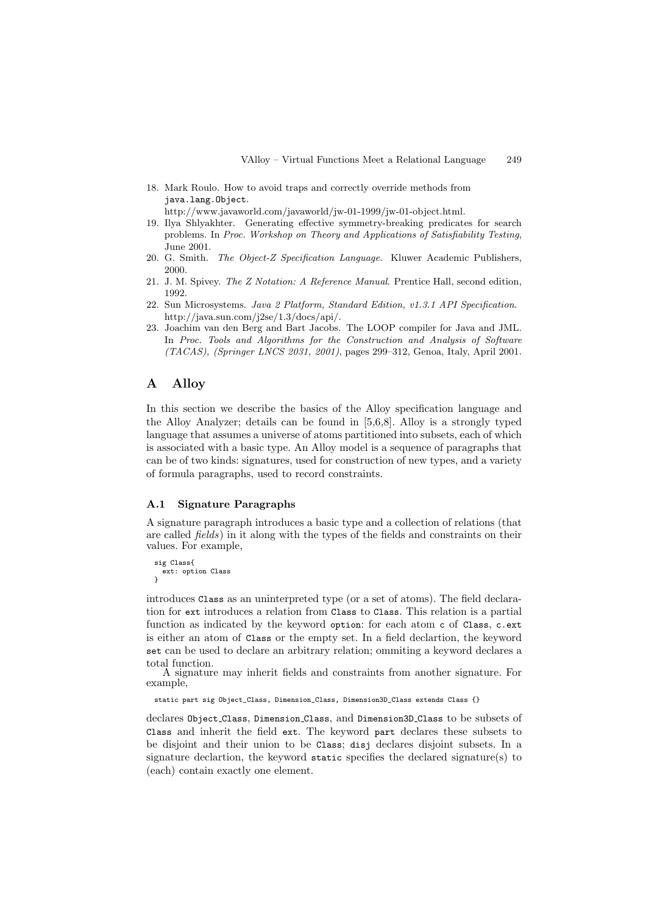- 18. Mark Roulo. How to avoid traps and correctly override methods from java.lang.Object. http://www.javaworld.com/javaworld/jw-01-1999/jw-01-object.html.
- 19. Ilya Shlyakhter. Generating effective symmetry-breaking predicates for search problems. In Proc. Workshop on Theory and Applications of Satisfiability Testing, June 2001.
- 20. G. Smith. The Object-Z Specification Language. Kluwer Academic Publishers, 2000.
- 21. J. M. Spivey. The Z Notation: A Reference Manual. Prentice Hall, second edition, 1992.
- 22. Sun Microsystems. Java 2 Platform, Standard Edition, v1.3.1 API Specification. http://java.sun.com/j2se/1.3/docs/api/.
- 23. Joachim van den Berg and Bart Jacobs. The LOOP compiler for Java and JML. In Proc. Tools and Algorithms for the Construction and Analysis of Software (TACAS), (Springer LNCS 2031, 2001), pages 299–312, Genoa, Italy, April 2001.

## **A Alloy**

In this section we describe the basics of the Alloy specification language and the Alloy Analyzer; details can be found in [5,6,8]. Alloy is a strongly typed language that assumes a universe of atoms partitioned into subsets, each of which is associated with a basic type. An Alloy model is a sequence of paragraphs that can be of two kinds: signatures, used for construction of new types, and a variety of formula paragraphs, used to record constraints.

## **A.1 Signature Paragraphs**

A signature paragraph introduces a basic type and a collection of relations (that are called fields) in it along with the types of the fields and constraints on their values. For example,

```
sig Class{
 ext: option Class
}
```
introduces Class as an uninterpreted type (or a set of atoms). The field declaration for ext introduces a relation from Class to Class. This relation is a partial function as indicated by the keyword option: for each atom c of Class, c.ext is either an atom of Class or the empty set. In a field declartion, the keyword set can be used to declare an arbitrary relation; ommiting a keyword declares a total function.

A signature may inherit fields and constraints from another signature. For example,

```
static part sig Object_Class, Dimension_Class, Dimension3D_Class extends Class {}
```
declares Object Class, Dimension Class, and Dimension3D Class to be subsets of Class and inherit the field ext. The keyword part declares these subsets to be disjoint and their union to be Class; disj declares disjoint subsets. In a signature declartion, the keyword static specifies the declared signature(s) to (each) contain exactly one element.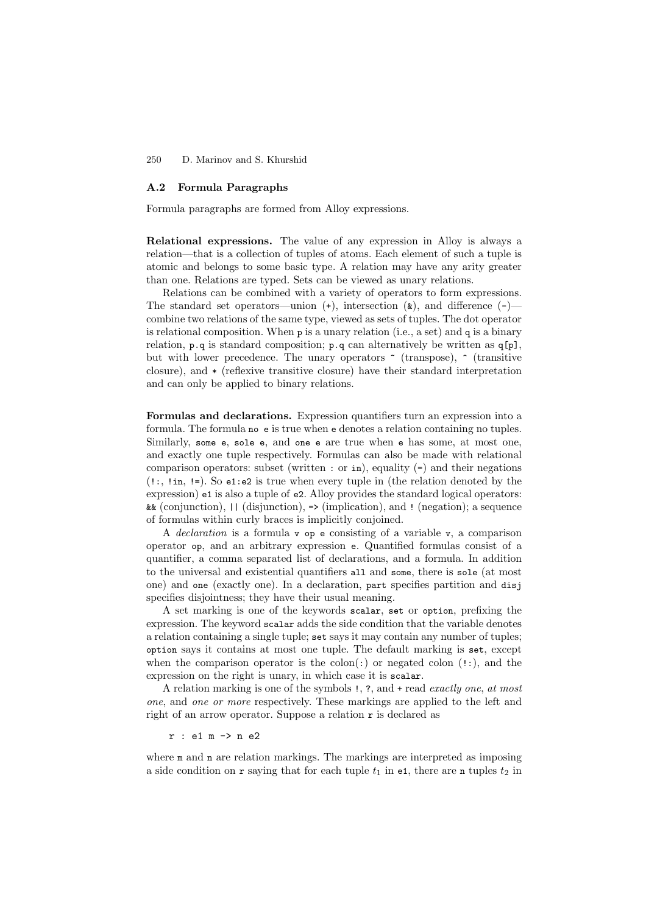#### **A.2 Formula Paragraphs**

Formula paragraphs are formed from Alloy expressions.

**Relational expressions.** The value of any expression in Alloy is always a relation—that is a collection of tuples of atoms. Each element of such a tuple is atomic and belongs to some basic type. A relation may have any arity greater than one. Relations are typed. Sets can be viewed as unary relations.

Relations can be combined with a variety of operators to form expressions. The standard set operators—union  $(+)$ , intersection  $(k)$ , and difference  $(-)$  combine two relations of the same type, viewed as sets of tuples. The dot operator is relational composition. When  $p$  is a unary relation (i.e., a set) and  $q$  is a binary relation,  $p,q$  is standard composition;  $p,q$  can alternatively be written as  $q[p]$ , but with lower precedence. The unary operators  $\tilde{\ }$  (transpose),  $\tilde{\ }$  (transitive closure), and \* (reflexive transitive closure) have their standard interpretation and can only be applied to binary relations.

**Formulas and declarations.** Expression quantifiers turn an expression into a formula. The formula no e is true when e denotes a relation containing no tuples. Similarly, some e, sole e, and one e are true when e has some, at most one, and exactly one tuple respectively. Formulas can also be made with relational comparison operators: subset (written : or in), equality (=) and their negations  $($ !:, !in, !=). So e1:e2 is true when every tuple in (the relation denoted by the expression) e1 is also a tuple of e2. Alloy provides the standard logical operators: && (conjunction), || (disjunction), => (implication), and ! (negation); a sequence of formulas within curly braces is implicitly conjoined.

A declaration is a formula v op e consisting of a variable v, a comparison operator op, and an arbitrary expression e. Quantified formulas consist of a quantifier, a comma separated list of declarations, and a formula. In addition to the universal and existential quantifiers all and some, there is sole (at most one) and one (exactly one). In a declaration, part specifies partition and disj specifies disjointness; they have their usual meaning.

A set marking is one of the keywords scalar, set or option, prefixing the expression. The keyword scalar adds the side condition that the variable denotes a relation containing a single tuple; set says it may contain any number of tuples; option says it contains at most one tuple. The default marking is set, except when the comparison operator is the colon( $:$ ) or negated colon  $(:)$ , and the expression on the right is unary, in which case it is scalar.

A relation marking is one of the symbols !, ?, and + read exactly one, at most one, and one or more respectively. These markings are applied to the left and right of an arrow operator. Suppose a relation r is declared as

r : e1 m -> n e2

where  $m$  and  $n$  are relation markings. The markings are interpreted as imposing a side condition on  $r$  saying that for each tuple  $t_1$  in e1, there are n tuples  $t_2$  in